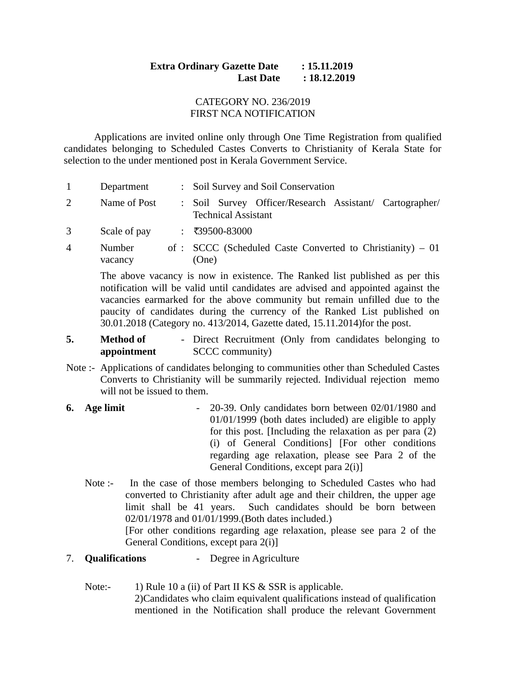## **Extra Ordinary Gazette Date : 15.11.2019 Last Date : 18.12.2019**

## CATEGORY NO. 236/2019 FIRST NCA NOTIFICATION

Applications are invited online only through One Time Registration from qualified candidates belonging to Scheduled Castes Converts to Christianity of Kerala State for selection to the under mentioned post in Kerala Government Service.

| $\mathbf{1}$   | Department        | : Soil Survey and Soil Conservation                                                   |
|----------------|-------------------|---------------------------------------------------------------------------------------|
| $\overline{2}$ | Name of Post      | : Soil Survey Officer/Research Assistant/ Cartographer/<br><b>Technical Assistant</b> |
| 3              | Scale of pay      | : ₹39500-83000                                                                        |
| $\overline{4}$ | Number<br>vacancy | of : SCCC (Scheduled Caste Converted to Christianity) $-01$<br>(One)                  |

The above vacancy is now in existence. The Ranked list published as per this notification will be valid until candidates are advised and appointed against the vacancies earmarked for the above community but remain unfilled due to the paucity of candidates during the currency of the Ranked List published on 30.01.2018 (Category no. 413/2014, Gazette dated, 15.11.2014)for the post.

- **5. Method of appointment** - Direct Recruitment (Only from candidates belonging to SCCC community)
- Note :- Applications of candidates belonging to communities other than Scheduled Castes Converts to Christianity will be summarily rejected. Individual rejection memo will not be issued to them.
- **6.** Age limit **19. 120-39.** Only candidates born between 02/01/1980 and 01/01/1999 (both dates included) are eligible to apply for this post. [Including the relaxation as per para (2) (i) of General Conditions] [For other conditions regarding age relaxation, please see Para 2 of the General Conditions, except para 2(i)]
	- Note :- In the case of those members belonging to Scheduled Castes who had converted to Christianity after adult age and their children, the upper age limit shall be 41 years. Such candidates should be born between 02/01/1978 and 01/01/1999.(Both dates included.)

[For other conditions regarding age relaxation, please see para 2 of the General Conditions, except para 2(i)]

- 7. **Qualifications** Degree in Agriculture
	- Note:- 1) Rule 10 a (ii) of Part II KS & SSR is applicable. 2)Candidates who claim equivalent qualifications instead of qualification mentioned in the Notification shall produce the relevant Government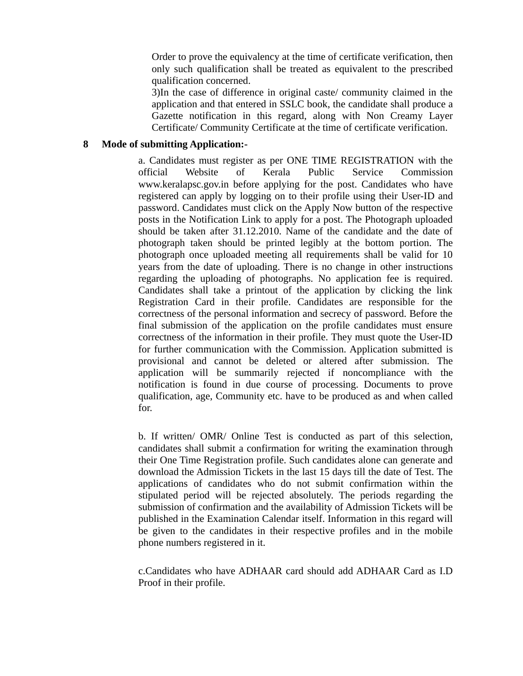Order to prove the equivalency at the time of certificate verification, then only such qualification shall be treated as equivalent to the prescribed qualification concerned.

3)In the case of difference in original caste/ community claimed in the application and that entered in SSLC book, the candidate shall produce a Gazette notification in this regard, along with Non Creamy Layer Certificate/ Community Certificate at the time of certificate verification.

## **8 Mode of submitting Application:-**

a. Candidates must register as per ONE TIME REGISTRATION with the official Website of Kerala Public Service Commission www.keralapsc.gov.in before applying for the post. Candidates who have registered can apply by logging on to their profile using their User-ID and password. Candidates must click on the Apply Now button of the respective posts in the Notification Link to apply for a post. The Photograph uploaded should be taken after 31.12.2010. Name of the candidate and the date of photograph taken should be printed legibly at the bottom portion. The photograph once uploaded meeting all requirements shall be valid for 10 years from the date of uploading. There is no change in other instructions regarding the uploading of photographs. No application fee is required. Candidates shall take a printout of the application by clicking the link Registration Card in their profile. Candidates are responsible for the correctness of the personal information and secrecy of password. Before the final submission of the application on the profile candidates must ensure correctness of the information in their profile. They must quote the User-ID for further communication with the Commission. Application submitted is provisional and cannot be deleted or altered after submission. The application will be summarily rejected if noncompliance with the notification is found in due course of processing. Documents to prove qualification, age, Community etc. have to be produced as and when called for.

b. If written/ OMR/ Online Test is conducted as part of this selection, candidates shall submit a confirmation for writing the examination through their One Time Registration profile. Such candidates alone can generate and download the Admission Tickets in the last 15 days till the date of Test. The applications of candidates who do not submit confirmation within the stipulated period will be rejected absolutely. The periods regarding the submission of confirmation and the availability of Admission Tickets will be published in the Examination Calendar itself. Information in this regard will be given to the candidates in their respective profiles and in the mobile phone numbers registered in it.

c.Candidates who have ADHAAR card should add ADHAAR Card as I.D Proof in their profile.